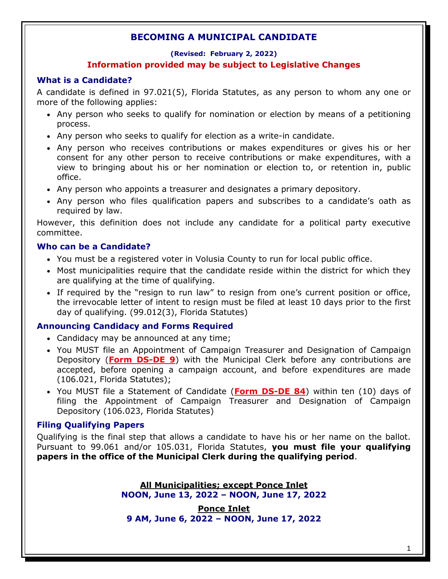# **(Revised: February 2, 2022) Information provided may be subject to Legislative Changes**

# **What is a Candidate?**

A candidate is defined in 97.021(5), Florida Statutes, as any person to whom any one or more of the following applies:

- Any person who seeks to qualify for nomination or election by means of a petitioning process.
- Any person who seeks to qualify for election as a write-in candidate.
- Any person who receives contributions or makes expenditures or gives his or her consent for any other person to receive contributions or make expenditures, with a view to bringing about his or her nomination or election to, or retention in, public office.
- Any person who appoints a treasurer and designates a primary depository.
- Any person who files qualification papers and subscribes to a candidate's oath as required by law.

However, this definition does not include any candidate for a political party executive committee.

# **Who can be a Candidate?**

- You must be a registered voter in Volusia County to run for local public office.
- Most municipalities require that the candidate reside within the district for which they are qualifying at the time of qualifying.
- If required by the "resign to run law" to resign from one's current position or office, the irrevocable letter of intent to resign must be filed at least 10 days prior to the first day of qualifying. (99.012(3), Florida Statutes)

## **Announcing Candidacy and Forms Required**

- Candidacy may be announced at any time;
- You MUST file an Appointment of Campaign Treasurer and Designation of Campaign Depository (**[Form DS-DE 9](https://dos.myflorida.com/elections/forms-publications/forms/)**) with the Municipal Clerk before any contributions are accepted, before opening a campaign account, and before expenditures are made (106.021, Florida Statutes);
- You MUST file a Statement of Candidate (**[Form DS-DE 84](https://dos.myflorida.com/elections/forms-publications/forms/)**) within ten (10) days of filing the Appointment of Campaign Treasurer and Designation of Campaign Depository (106.023, Florida Statutes)

# **Filing Qualifying Papers**

Qualifying is the final step that allows a candidate to have his or her name on the ballot. Pursuant to 99.061 and/or 105.031, Florida Statutes, **you must file your qualifying papers in the office of the Municipal Clerk during the qualifying period**.

> **All Municipalities; except Ponce Inlet NOON, June 13, 2022 – NOON, June 17, 2022**

**Ponce Inlet 9 AM, June 6, 2022 – NOON, June 17, 2022**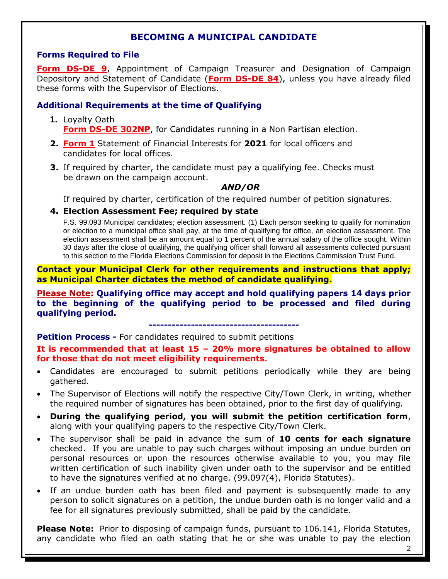## **Forms Required to File**

**[Form DS-DE 9](https://dos.myflorida.com/elections/forms-publications/forms/)**, Appointment of Campaign Treasurer and Designation of Campaign Depository and Statement of Candidate (**[Form DS-DE 84](https://dos.myflorida.com/elections/forms-publications/forms/)**), unless you have already filed these forms with the Supervisor of Elections.

## **Additional Requirements at the time of Qualifying**

- **1.** Loyalty Oath **[Form DS-DE 302NP](https://dos.myflorida.com/elections/forms-publications/forms/)**, for Candidates running in a Non Partisan election.
- **2. [Form](http://www.ethics.state.fl.us/FinancialDisclosure/DownloadAForm.aspx) 1** Statement of Financial Interests for **2021** for local officers and candidates for local offices.
- **3.** If required by charter, the candidate must pay a qualifying fee. Checks must be drawn on the campaign account.

#### *AND/OR*

If required by charter, certification of the required number of petition signatures.

## **4. Election Assessment Fee; required by state**

F.S. 99.093 Municipal candidates; election assessment. (1) Each person seeking to qualify for nomination or election to a municipal office shall pay, at the time of qualifying for office, an election assessment. The election assessment shall be an amount equal to 1 percent of the annual salary of the office sought. Within 30 days after the close of qualifying, the qualifying officer shall forward all assessments collected pursuant to this section to the Florida Elections Commission for deposit in the Elections Commission Trust Fund.

**Contact your Municipal Clerk for other requirements and instructions that apply; as Municipal Charter dictates the method of candidate qualifying.**

**Please Note: Qualifying office may accept and hold qualifying papers 14 days prior to the beginning of the qualifying period to be processed and filed during qualifying period.**

**---------------------------------------**

#### **Petition Process -** For candidates required to submit petitions

**It is recommended that at least 15 – 20% more signatures be obtained to allow for those that do not meet eligibility requirements.**

- Candidates are encouraged to submit petitions periodically while they are being gathered.
- The Supervisor of Elections will notify the respective City/Town Clerk, in writing, whether the required number of signatures has been obtained, prior to the first day of qualifying.
- **During the qualifying period, you will submit the petition certification form**, along with your qualifying papers to the respective City/Town Clerk.
- The supervisor shall be paid in advance the sum of **10 cents for each signature** checked. If you are unable to pay such charges without imposing an undue burden on personal resources or upon the resources otherwise available to you, you may file written certification of such inability given under oath to the supervisor and be entitled to have the signatures verified at no charge. (99.097(4), Florida Statutes).
- If an undue burden oath has been filed and payment is subsequently made to any person to solicit signatures on a petition, the undue burden oath is no longer valid and a fee for all signatures previously submitted, shall be paid by the candidate.

Please Note: Prior to disposing of campaign funds, pursuant to 106.141, Florida Statutes, any candidate who filed an oath stating that he or she was unable to pay the election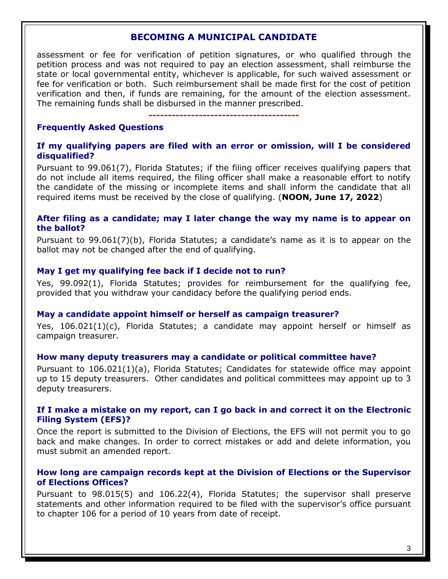assessment or fee for verification of petition signatures, or who qualified through the petition process and was not required to pay an election assessment, shall reimburse the state or local governmental entity, whichever is applicable, for such waived assessment or fee for verification or both. Such reimbursement shall be made first for the cost of petition verification and then, if funds are remaining, for the amount of the election assessment. The remaining funds shall be disbursed in the manner prescribed.

**---------------------------------------**

## **Frequently Asked Questions**

#### **If my qualifying papers are filed with an error or omission, will I be considered disqualified?**

Pursuant to 99.061(7), Florida Statutes; if the filing officer receives qualifying papers that do not include all items required, the filing officer shall make a reasonable effort to notify the candidate of the missing or incomplete items and shall inform the candidate that all required items must be received by the close of qualifying. (**NOON, June 17, 2022**)

#### **After filing as a candidate; may I later change the way my name is to appear on the ballot?**

Pursuant to 99.061(7)(b), Florida Statutes; a candidate's name as it is to appear on the ballot may not be changed after the end of qualifying.

## **May I get my qualifying fee back if I decide not to run?**

Yes, 99.092(1), Florida Statutes; provides for reimbursement for the qualifying fee, provided that you withdraw your candidacy before the qualifying period ends.

#### **May a candidate appoint himself or herself as campaign treasurer?**

Yes, 106.021(1)(c), Florida Statutes; a candidate may appoint herself or himself as campaign treasurer.

#### **How many deputy treasurers may a candidate or political committee have?**

Pursuant to 106.021(1)(a), Florida Statutes; Candidates for statewide office may appoint up to 15 deputy treasurers. Other candidates and political committees may appoint up to 3 deputy treasurers.

## **If I make a mistake on my report, can I go back in and correct it on the Electronic Filing System (EFS)?**

Once the report is submitted to the Division of Elections, the EFS will not permit you to go back and make changes. In order to correct mistakes or add and delete information, you must submit an amended report.

## **How long are campaign records kept at the Division of Elections or the Supervisor of Elections Offices?**

Pursuant to 98.015(5) and 106.22(4), Florida Statutes; the supervisor shall preserve statements and other information required to be filed with the supervisor's office pursuant to chapter 106 for a period of 10 years from date of receipt.